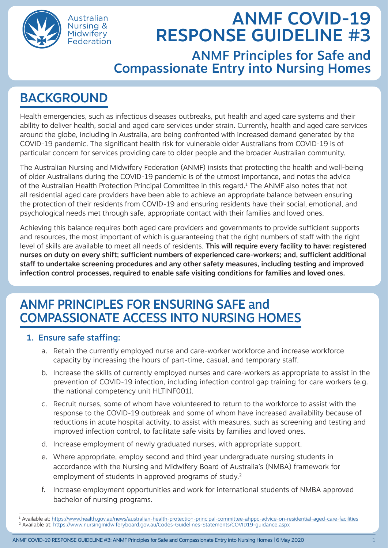

Australian Nursing & Midwifery Federation

# ANMF COVID-19 RESPONSE GUIDELINE #3

ANMF Principles for Safe and Compassionate Entry into Nursing Homes

## BACKGROUND

Health emergencies, such as infectious diseases outbreaks, put health and aged care systems and their ability to deliver health, social and aged care services under strain. Currently, health and aged care services around the globe, including in Australia, are being confronted with increased demand generated by the COVID-19 pandemic. The significant health risk for vulnerable older Australians from COVID-19 is of particular concern for services providing care to older people and the broader Australian community.

The Australian Nursing and Midwifery Federation (ANMF) insists that protecting the health and well-being of older Australians during the COVID-19 pandemic is of the utmost importance, and notes the advice of the Australian Health Protection Principal Committee in this regard.<sup>1</sup> The ANMF also notes that not all residential aged care providers have been able to achieve an appropriate balance between ensuring the protection of their residents from COVID-19 and ensuring residents have their social, emotional, and psychological needs met through safe, appropriate contact with their families and loved ones.

Achieving this balance requires both aged care providers and governments to provide sufficient supports and resources, the most important of which is guaranteeing that the right numbers of staff with the right level of skills are available to meet all needs of residents. This will require every facility to have: registered nurses on duty on every shift; sufficient numbers of experienced care-workers; and, sufficient additional staff to undertake screening procedures and any other safety measures, including testing and improved infection control processes, required to enable safe visiting conditions for families and loved ones.

### ANMF PRINCIPLES FOR ENSURING SAFE and COMPASSIONATE ACCESS INTO NURSING HOMES

### 1. Ensure safe staffing:

- a. Retain the currently employed nurse and care-worker workforce and increase workforce capacity by increasing the hours of part-time, casual, and temporary staff.
- b. Increase the skills of currently employed nurses and care-workers as appropriate to assist in the prevention of COVID-19 infection, including infection control gap training for care workers (e.g. the national competency unit HLTINF001).
- c. Recruit nurses, some of whom have volunteered to return to the workforce to assist with the response to the COVID-19 outbreak and some of whom have increased availability because of reductions in acute hospital activity, to assist with measures, such as screening and testing and improved infection control, to facilitate safe visits by families and loved ones.
- d. Increase employment of newly graduated nurses, with appropriate support.
- e. Where appropriate, employ second and third year undergraduate nursing students in accordance with the Nursing and Midwifery Board of Australia's (NMBA) framework for employment of students in approved programs of study.<sup>2</sup>
- f. Increase employment opportunities and work for international students of NMBA approved bachelor of nursing programs.

<sup>1</sup> Available at:<https://www.health.gov.au/news/australian-health-protection-principal-committee-ahppc-advice-on-residential-aged-care-facilities> 2 Available at: <https://www.nursingmidwiferyboard.gov.au/Codes-Guidelines-Statements/COVID19-guidance.aspx>